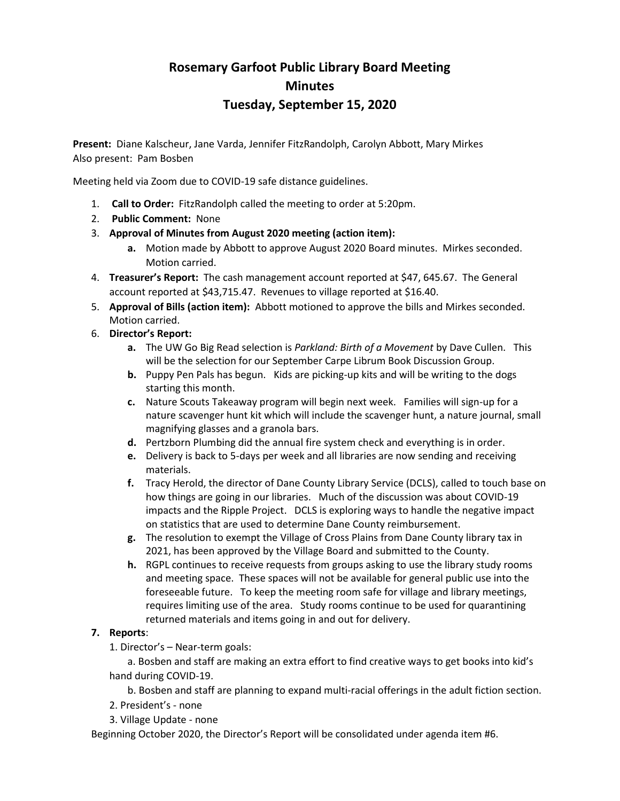# **Rosemary Garfoot Public Library Board Meeting Minutes Tuesday, September 15, 2020**

**Present:** Diane Kalscheur, Jane Varda, Jennifer FitzRandolph, Carolyn Abbott, Mary Mirkes Also present: Pam Bosben

Meeting held via Zoom due to COVID-19 safe distance guidelines.

- 1. **Call to Order:** FitzRandolph called the meeting to order at 5:20pm.
- 2. **Public Comment:** None
- 3. **Approval of Minutes from August 2020 meeting (action item):**
	- **a.** Motion made by Abbott to approve August 2020 Board minutes. Mirkes seconded. Motion carried.
- 4. **Treasurer's Report:** The cash management account reported at \$47, 645.67. The General account reported at \$43,715.47. Revenues to village reported at \$16.40.
- 5. **Approval of Bills (action item):** Abbott motioned to approve the bills and Mirkes seconded. Motion carried.
- 6. **Director's Report:**
	- **a.** The UW Go Big Read selection is *Parkland: Birth of a Movement* by Dave Cullen. This will be the selection for our September Carpe Librum Book Discussion Group.
	- **b.** Puppy Pen Pals has begun. Kids are picking-up kits and will be writing to the dogs starting this month.
	- **c.** Nature Scouts Takeaway program will begin next week. Families will sign-up for a nature scavenger hunt kit which will include the scavenger hunt, a nature journal, small magnifying glasses and a granola bars.
	- **d.** Pertzborn Plumbing did the annual fire system check and everything is in order.
	- **e.** Delivery is back to 5-days per week and all libraries are now sending and receiving materials.
	- **f.** Tracy Herold, the director of Dane County Library Service (DCLS), called to touch base on how things are going in our libraries. Much of the discussion was about COVID-19 impacts and the Ripple Project. DCLS is exploring ways to handle the negative impact on statistics that are used to determine Dane County reimbursement.
	- **g.** The resolution to exempt the Village of Cross Plains from Dane County library tax in 2021, has been approved by the Village Board and submitted to the County.
	- **h.** RGPL continues to receive requests from groups asking to use the library study rooms and meeting space. These spaces will not be available for general public use into the foreseeable future. To keep the meeting room safe for village and library meetings, requires limiting use of the area. Study rooms continue to be used for quarantining returned materials and items going in and out for delivery.

# **7. Reports**:

1. Director's – Near-term goals:

a. Bosben and staff are making an extra effort to find creative ways to get books into kid's hand during COVID-19.

b. Bosben and staff are planning to expand multi-racial offerings in the adult fiction section.

- 2. President's none
- 3. Village Update none

Beginning October 2020, the Director's Report will be consolidated under agenda item #6.